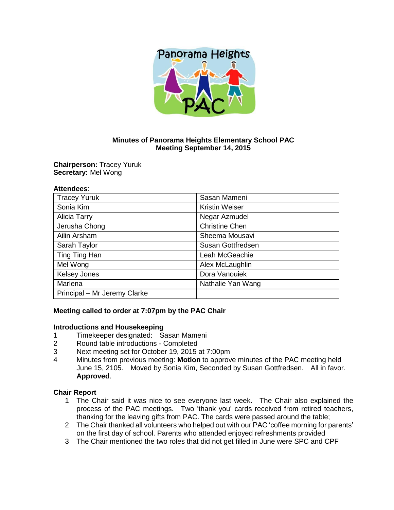

## **Minutes of Panorama Heights Elementary School PAC Meeting September 14, 2015**

**Chairperson:** Tracey Yuruk **Secretary:** Mel Wong

#### **Attendees**:

| <b>Tracey Yuruk</b>          | Sasan Mameni          |
|------------------------------|-----------------------|
| Sonia Kim                    | <b>Kristin Weiser</b> |
| <b>Alicia Tarry</b>          | Negar Azmudel         |
| Jerusha Chong                | <b>Christine Chen</b> |
| Ailin Arsham                 | Sheema Mousavi        |
| Sarah Taylor                 | Susan Gottfredsen     |
| Ting Ting Han                | Leah McGeachie        |
| Mel Wong                     | Alex McLaughlin       |
| <b>Kelsey Jones</b>          | Dora Vanouiek         |
| Marlena                      | Nathalie Yan Wang     |
| Principal - Mr Jeremy Clarke |                       |

## **Meeting called to order at 7:07pm by the PAC Chair**

#### **Introductions and Housekeeping**

- 1 Timekeeper designated: Sasan Mameni
- 2 Round table introductions Completed
- 3 Next meeting set for October 19, 2015 at 7:00pm
- 4 Minutes from previous meeting: **Motion** to approve minutes of the PAC meeting held June 15, 2105. Moved by Sonia Kim, Seconded by Susan Gottfredsen. All in favor. **Approved**.

#### **Chair Report**

- 1 The Chair said it was nice to see everyone last week. The Chair also explained the process of the PAC meetings. Two 'thank you' cards received from retired teachers, thanking for the leaving gifts from PAC. The cards were passed around the table;
- 2 The Chair thanked all volunteers who helped out with our PAC 'coffee morning for parents' on the first day of school. Parents who attended enjoyed refreshments provided
- 3 The Chair mentioned the two roles that did not get filled in June were SPC and CPF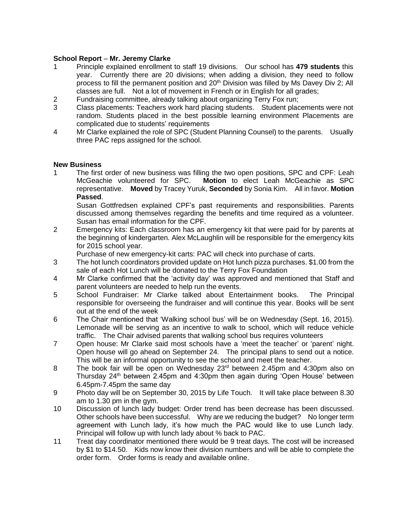## **School Report** – **Mr. Jeremy Clarke**

- 1 Principle explained enrollment to staff 19 divisions. Our school has **479 students** this year. Currently there are 20 divisions; when adding a division, they need to follow process to fill the permanent position and 20<sup>th</sup> Division was filled by Ms Davey Div 2; All classes are full. Not a lot of movement in French or in English for all grades;
- 2 Fundraising committee, already talking about organizing Terry Fox run;
- 3 Class placements: Teachers work hard placing students. Student placements were not random. Students placed in the best possible learning environment Placements are complicated due to students' requirements
- 4 Mr Clarke explained the role of SPC (Student Planning Counsel) to the parents. Usually three PAC reps assigned for the school.

#### **New Business**

1 The first order of new business was filling the two open positions, SPC and CPF: Leah McGeachie volunteered for SPC. **Motion** to elect Leah McGeachie as SPC representative. **Moved** by Tracey Yuruk, **Seconded** by Sonia Kim. All in favor. **Motion Passed**.

Susan Gottfredsen explained CPF's past requirements and responsibilities. Parents discussed among themselves regarding the benefits and time required as a volunteer. Susan has email information for the CPF.

2 Emergency kits: Each classroom has an emergency kit that were paid for by parents at the beginning of kindergarten. Alex McLaughlin will be responsible for the emergency kits for 2015 school year.

Purchase of new emergency-kit carts: PAC will check into purchase of carts.

- 3 The hot lunch coordinators provided update on Hot lunch pizza purchases. \$1.00 from the sale of each Hot Lunch will be donated to the Terry Fox Foundation
- 4 Mr Clarke confirmed that the 'activity day' was approved and mentioned that Staff and parent volunteers are needed to help run the events.
- 5 School Fundraiser: Mr Clarke talked about Entertainment books. The Principal responsible for overseeing the fundraiser and will continue this year. Books will be sent out at the end of the week
- 6 The Chair mentioned that 'Walking school bus' will be on Wednesday (Sept. 16, 2015). Lemonade will be serving as an incentive to walk to school, which will reduce vehicle traffic. The Chair advised parents that walking school bus requires volunteers
- 7 Open house: Mr Clarke said most schools have a 'meet the teacher' or 'parent' night. Open house will go ahead on September 24. The principal plans to send out a notice. This will be an informal opportunity to see the school and meet the teacher.
- 8 The book fair will be open on Wednesday 23<sup>rd</sup> between 2.45pm and 4:30pm also on Thursday  $24<sup>th</sup>$  between 2.45pm and 4:30pm then again during 'Open House' between 6.45pm-7.45pm the same day
- 9 Photo day will be on September 30, 2015 by Life Touch. It will take place between 8.30 am to 1.30 pm in the gym.
- 10 Discussion of lunch lady budget: Order trend has been decrease has been discussed. Other schools have been successful. Why are we reducing the budget? No longer term agreement with Lunch lady, it's how much the PAC would like to use Lunch lady. Principal will follow up with lunch lady about % back to PAC.
- 11 Treat day coordinator mentioned there would be 9 treat days. The cost will be increased by \$1 to \$14.50. Kids now know their division numbers and will be able to complete the order form. Order forms is ready and available online.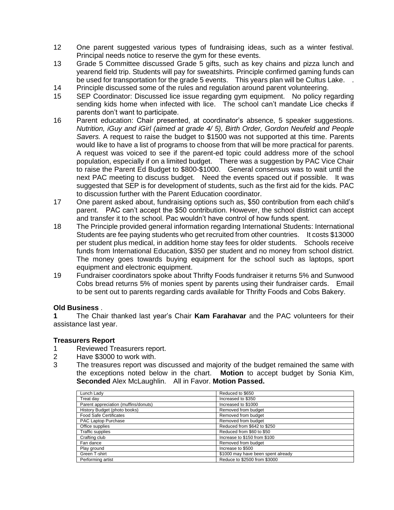- 12 One parent suggested various types of fundraising ideas, such as a winter festival. Principal needs notice to reserve the gym for these events.
- 13 Grade 5 Committee discussed Grade 5 gifts, such as key chains and pizza lunch and yearend field trip. Students will pay for sweatshirts. Principle confirmed gaming funds can be used for transportation for the grade 5 events. This years plan will be Cultus Lake. .
- 14 Principle discussed some of the rules and regulation around parent volunteering.
- 15 SEP Coordinator: Discussed lice issue regarding gym equipment. No policy regarding sending kids home when infected with lice. The school can't mandate Lice checks if parents don't want to participate.
- 16 Parent education: Chair presented, at coordinator's absence, 5 speaker suggestions. *Nutrition, iGuy and iGirl (aimed at grade 4/ 5), Birth Order, Gordon Neufeld and People Savers.* A request to raise the budget to \$1500 was not supported at this time. Parents would like to have a list of programs to choose from that will be more practical for parents. A request was voiced to see if the parent-ed topic could address more of the school population, especially if on a limited budget. There was a suggestion by PAC Vice Chair to raise the Parent Ed Budget to \$800-\$1000. General consensus was to wait until the next PAC meeting to discuss budget. Need the events spaced out if possible. It was suggested that SEP is for development of students, such as the first aid for the kids. PAC to discussion further with the Parent Education coordinator.
- 17 One parent asked about, fundraising options such as, \$50 contribution from each child's parent. PAC can't accept the \$50 contribution. However, the school district can accept and transfer it to the school. Pac wouldn't have control of how funds spent.
- 18 The Principle provided general information regarding International Students: International Students are fee paying students who get recruited from other countries. It costs \$13000 per student plus medical, in addition home stay fees for older students. Schools receive funds from International Education, \$350 per student and no money from school district. The money goes towards buying equipment for the school such as laptops, sport equipment and electronic equipment.
- 19 Fundraiser coordinators spoke about Thrifty Foods fundraiser it returns 5% and Sunwood Cobs bread returns 5% of monies spent by parents using their fundraiser cards. Email to be sent out to parents regarding cards available for Thrifty Foods and Cobs Bakery.

## **Old Business** .

**1** The Chair thanked last year's Chair **Kam Farahavar** and the PAC volunteers for their assistance last year.

## **Treasurers Report**

- 1 Reviewed Treasurers report.
- 2 Have \$3000 to work with.
- 3 The treasures report was discussed and majority of the budget remained the same with the exceptions noted below in the chart. **Motion** to accept budget by Sonia Kim, **Seconded** Alex McLaughlin. All in Favor. **Motion Passed.**

| Lunch Lady                           | Reduced to \$650                   |
|--------------------------------------|------------------------------------|
| Treat dav                            | Increased to \$350                 |
| Parent appreciation (muffins/donuts) | Increased to \$1000                |
| History Budget (photo books)         | Removed from budget                |
| <b>Food Safe Certificates</b>        | Removed from budget                |
| PAC Laptop Purchase                  | Removed from budget                |
| Office supplies                      | Reduced from \$642 to \$250        |
| <b>Traffic supplies</b>              | Reduced from \$60 to \$50          |
| Crafting club                        | Increase to \$150 from \$100       |
| Fan dance                            | Removed from budget                |
| Play ground                          | Increase to \$500                  |
| Green T-shirt                        | \$1000 may have been spent already |
| Performing artist                    | Reduce to \$2500 from \$3000       |